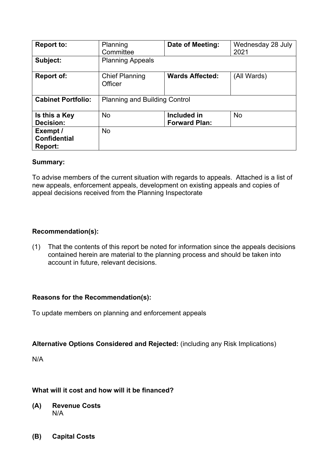| <b>Report to:</b>                          | Planning<br>Committee                | Date of Meeting:                    | Wednesday 28 July<br>2021 |
|--------------------------------------------|--------------------------------------|-------------------------------------|---------------------------|
| Subject:                                   | <b>Planning Appeals</b>              |                                     |                           |
| <b>Report of:</b>                          | <b>Chief Planning</b><br>Officer     | <b>Wards Affected:</b>              | (All Wards)               |
| <b>Cabinet Portfolio:</b>                  | <b>Planning and Building Control</b> |                                     |                           |
| Is this a Key<br>Decision:                 | <b>No</b>                            | Included in<br><b>Forward Plan:</b> | <b>No</b>                 |
| Exempt /<br><b>Confidential</b><br>Report: | <b>No</b>                            |                                     |                           |

### **Summary:**

To advise members of the current situation with regards to appeals. Attached is a list of new appeals, enforcement appeals, development on existing appeals and copies of appeal decisions received from the Planning Inspectorate

## **Recommendation(s):**

(1) That the contents of this report be noted for information since the appeals decisions contained herein are material to the planning process and should be taken into account in future, relevant decisions.

### **Reasons for the Recommendation(s):**

To update members on planning and enforcement appeals

### **Alternative Options Considered and Rejected:** (including any Risk Implications)

N/A

# **What will it cost and how will it be financed?**

- **(A) Revenue Costs** N/A
- **(B) Capital Costs**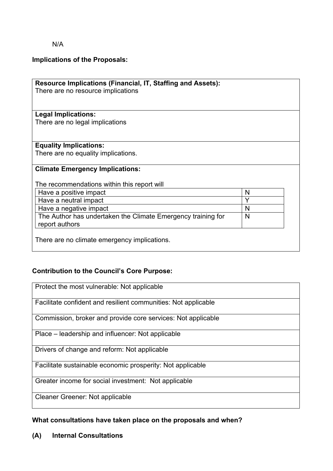N/A

# **Implications of the Proposals:**

| <b>Resource Implications (Financial, IT, Staffing and Assets):</b> |   |  |
|--------------------------------------------------------------------|---|--|
| There are no resource implications                                 |   |  |
|                                                                    |   |  |
| <b>Legal Implications:</b>                                         |   |  |
| There are no legal implications                                    |   |  |
|                                                                    |   |  |
|                                                                    |   |  |
| <b>Equality Implications:</b>                                      |   |  |
| There are no equality implications.                                |   |  |
|                                                                    |   |  |
| <b>Climate Emergency Implications:</b>                             |   |  |
|                                                                    |   |  |
| The recommendations within this report will                        |   |  |
| Have a positive impact                                             | N |  |
| Have a neutral impact                                              | Y |  |
| Have a negative impact                                             | N |  |
| The Author has undertaken the Climate Emergency training for       | N |  |
| report authors                                                     |   |  |
|                                                                    |   |  |
| There are no climate emergency implications.                       |   |  |
|                                                                    |   |  |

# **Contribution to the Council's Core Purpose:**

| Protect the most vulnerable: Not applicable                    |
|----------------------------------------------------------------|
| Facilitate confident and resilient communities: Not applicable |
| Commission, broker and provide core services: Not applicable   |
| Place – leadership and influencer: Not applicable              |
| Drivers of change and reform: Not applicable                   |
| Facilitate sustainable economic prosperity: Not applicable     |
| Greater income for social investment: Not applicable           |
| <b>Cleaner Greener: Not applicable</b>                         |

# **What consultations have taken place on the proposals and when?**

**(A) Internal Consultations**